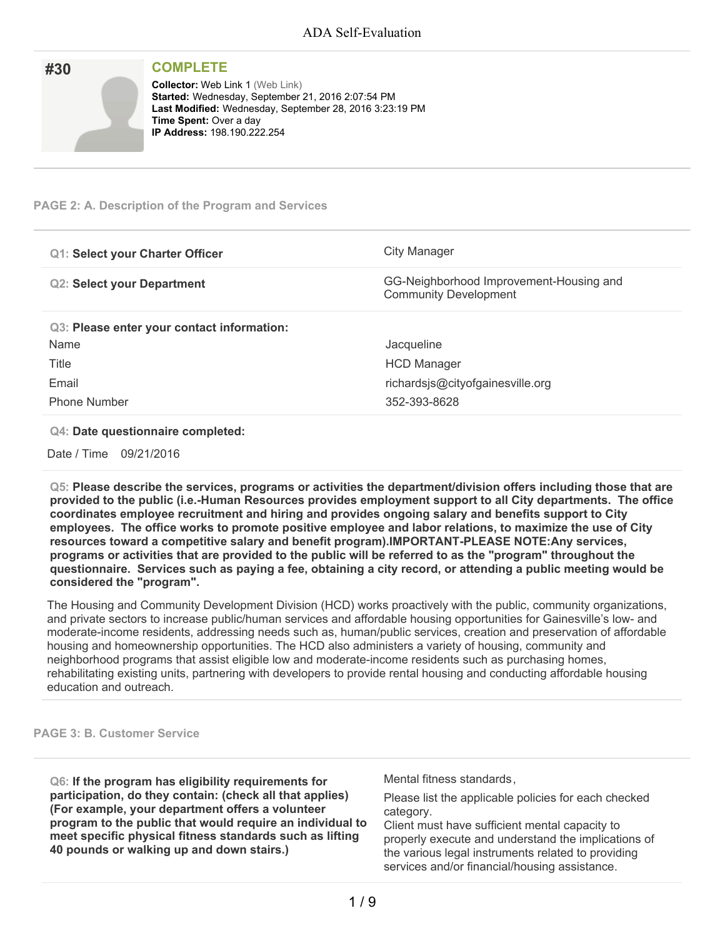| #30 | <b>COMPLETE</b>                                                                                                                                                                                                                |
|-----|--------------------------------------------------------------------------------------------------------------------------------------------------------------------------------------------------------------------------------|
|     | <b>Collector: Web Link 1 (Web Link)</b><br>Started: Wednesday, September 21, 2016 2:07:54 PM<br>Last Modified: Wednesday, September 28, 2016 3:23:19 PM<br><b>Time Spent: Over a day</b><br><b>IP Address: 198.190.222.254</b> |

## **PAGE 2: A. Description of the Program and Services**

| <b>Q1: Select your Charter Officer</b>     | City Manager                                                            |
|--------------------------------------------|-------------------------------------------------------------------------|
| <b>Q2: Select your Department</b>          | GG-Neighborhood Improvement-Housing and<br><b>Community Development</b> |
| Q3: Please enter your contact information: |                                                                         |
| Name                                       | Jacqueline                                                              |
| Title                                      | <b>HCD Manager</b>                                                      |
| Email                                      | richardsjs@cityofgainesville.org                                        |
| <b>Phone Number</b>                        | 352-393-8628                                                            |

### **Q4: Date questionnaire completed:**

Date / Time 09/21/2016

**Q5: Please describe the services, programs or activities the department/division offers including those that are provided to the public (i.e.-Human Resources provides employment support to all City departments. The office coordinates employee recruitment and hiring and provides ongoing salary and benefits support to City employees. The office works to promote positive employee and labor relations, to maximize the use of City resources toward a competitive salary and benefit program).IMPORTANT-PLEASE NOTE:Any services,** programs or activities that are provided to the public will be referred to as the "program" throughout the questionnaire. Services such as paving a fee, obtaining a city record, or attending a public meeting would be **considered the "program".**

The Housing and Community Development Division (HCD) works proactively with the public, community organizations, and private sectors to increase public/human services and affordable housing opportunities for Gainesville's low- and moderate-income residents, addressing needs such as, human/public services, creation and preservation of affordable housing and homeownership opportunities. The HCD also administers a variety of housing, community and neighborhood programs that assist eligible low and moderate-income residents such as purchasing homes, rehabilitating existing units, partnering with developers to provide rental housing and conducting affordable housing education and outreach.

#### **PAGE 3: B. Customer Service**

**Q6: If the program has eligibility requirements for participation, do they contain: (check all that applies) (For example, your department offers a volunteer program to the public that would require an individual to meet specific physical fitness standards such as lifting 40 pounds or walking up and down stairs.)**

Mental fitness standards,

Please list the applicable policies for each checked category.

Client must have sufficient mental capacity to properly execute and understand the implications of the various legal instruments related to providing services and/or financial/housing assistance.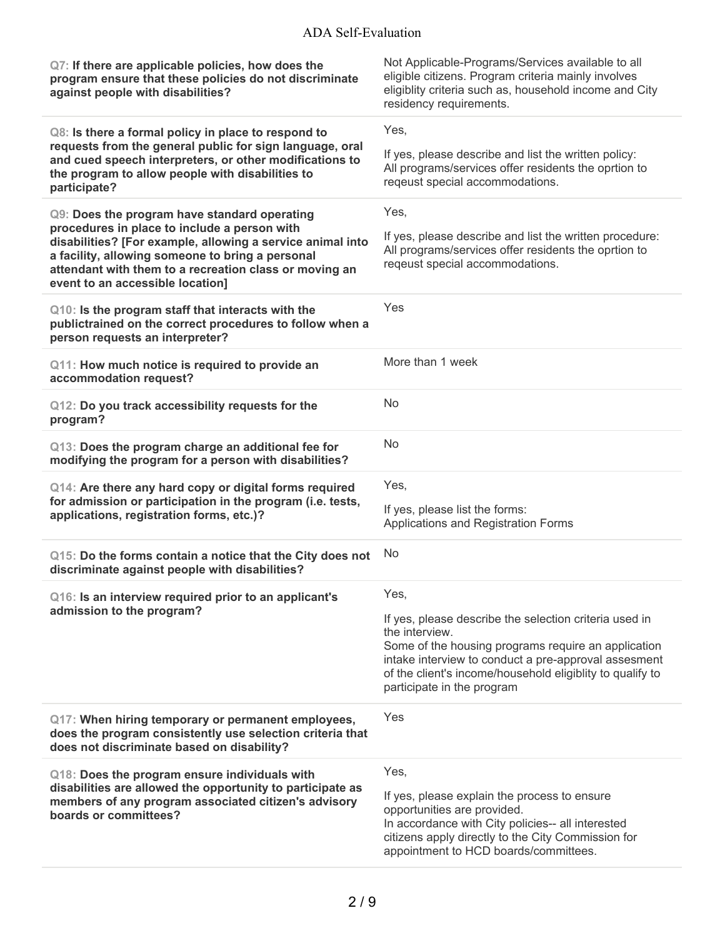| Q7: If there are applicable policies, how does the<br>program ensure that these policies do not discriminate<br>against people with disabilities?                                                                                                            | Not Applicable-Programs/Services available to all<br>eligible citizens. Program criteria mainly involves<br>eligiblity criteria such as, household income and City<br>residency requirements.                                   |
|--------------------------------------------------------------------------------------------------------------------------------------------------------------------------------------------------------------------------------------------------------------|---------------------------------------------------------------------------------------------------------------------------------------------------------------------------------------------------------------------------------|
| Q8: Is there a formal policy in place to respond to                                                                                                                                                                                                          | Yes,                                                                                                                                                                                                                            |
| requests from the general public for sign language, oral<br>and cued speech interpreters, or other modifications to<br>the program to allow people with disabilities to<br>participate?                                                                      | If yes, please describe and list the written policy:<br>All programs/services offer residents the oprtion to<br>reqeust special accommodations.                                                                                 |
| Q9: Does the program have standard operating                                                                                                                                                                                                                 | Yes,                                                                                                                                                                                                                            |
| procedures in place to include a person with<br>disabilities? [For example, allowing a service animal into<br>a facility, allowing someone to bring a personal<br>attendant with them to a recreation class or moving an<br>event to an accessible location] | If yes, please describe and list the written procedure:<br>All programs/services offer residents the oprtion to<br>reqeust special accommodations.                                                                              |
| Q10: Is the program staff that interacts with the<br>publictrained on the correct procedures to follow when a<br>person requests an interpreter?                                                                                                             | Yes                                                                                                                                                                                                                             |
| Q11: How much notice is required to provide an<br>accommodation request?                                                                                                                                                                                     | More than 1 week                                                                                                                                                                                                                |
| Q12: Do you track accessibility requests for the<br>program?                                                                                                                                                                                                 | <b>No</b>                                                                                                                                                                                                                       |
| Q13: Does the program charge an additional fee for<br>modifying the program for a person with disabilities?                                                                                                                                                  | No                                                                                                                                                                                                                              |
| Q14: Are there any hard copy or digital forms required                                                                                                                                                                                                       | Yes,                                                                                                                                                                                                                            |
| for admission or participation in the program (i.e. tests,<br>applications, registration forms, etc.)?                                                                                                                                                       | If yes, please list the forms:<br>Applications and Registration Forms                                                                                                                                                           |
| Q15: Do the forms contain a notice that the City does not<br>discriminate against people with disabilities?                                                                                                                                                  | <b>No</b>                                                                                                                                                                                                                       |
| Q16: Is an interview required prior to an applicant's                                                                                                                                                                                                        | Yes,                                                                                                                                                                                                                            |
| admission to the program?                                                                                                                                                                                                                                    | If yes, please describe the selection criteria used in                                                                                                                                                                          |
|                                                                                                                                                                                                                                                              | the interview.<br>Some of the housing programs require an application                                                                                                                                                           |
|                                                                                                                                                                                                                                                              | intake interview to conduct a pre-approval assesment<br>of the client's income/household eligiblity to qualify to<br>participate in the program                                                                                 |
| Q17: When hiring temporary or permanent employees,<br>does the program consistently use selection criteria that<br>does not discriminate based on disability?                                                                                                | Yes                                                                                                                                                                                                                             |
| Q18: Does the program ensure individuals with                                                                                                                                                                                                                | Yes,                                                                                                                                                                                                                            |
| disabilities are allowed the opportunity to participate as<br>members of any program associated citizen's advisory<br>boards or committees?                                                                                                                  | If yes, please explain the process to ensure<br>opportunities are provided.<br>In accordance with City policies-- all interested<br>citizens apply directly to the City Commission for<br>appointment to HCD boards/committees. |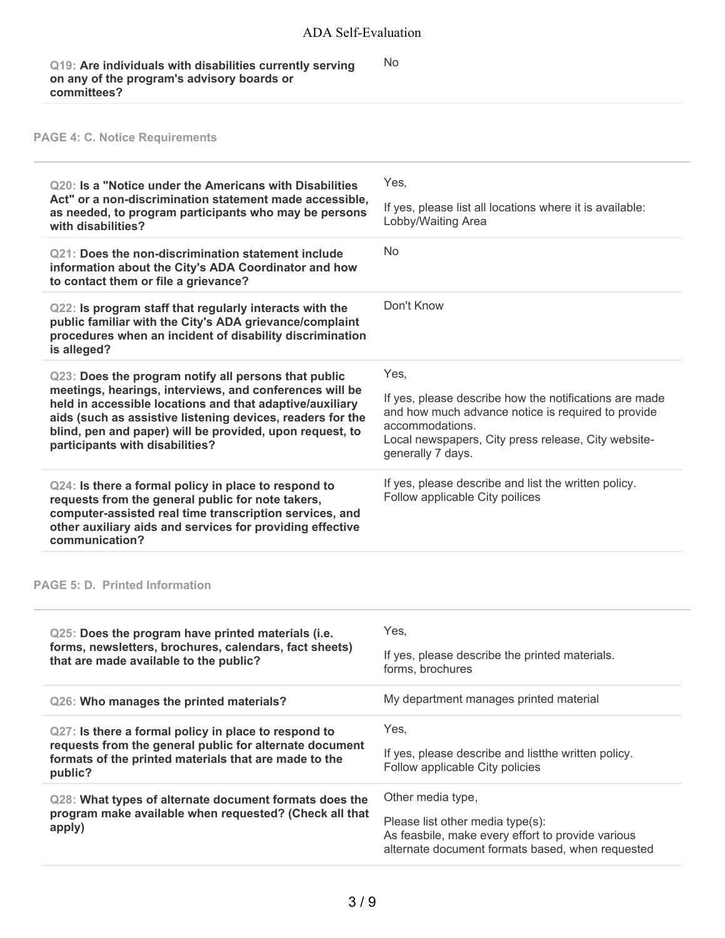No

### **Q19: Are individuals with disabilities currently serving on any of the program's advisory boards or committees?**

# **PAGE 4: C. Notice Requirements**

| <b>Q20: Is a "Notice under the Americans with Disabilities</b><br>Act" or a non-discrimination statement made accessible,<br>as needed, to program participants who may be persons<br>with disabilities?                                                                                                                                 | Yes,<br>If yes, please list all locations where it is available:<br>Lobby/Waiting Area                                                                                                                              |
|------------------------------------------------------------------------------------------------------------------------------------------------------------------------------------------------------------------------------------------------------------------------------------------------------------------------------------------|---------------------------------------------------------------------------------------------------------------------------------------------------------------------------------------------------------------------|
| <b>Q21: Does the non-discrimination statement include</b><br>information about the City's ADA Coordinator and how<br>to contact them or file a grievance?                                                                                                                                                                                | No                                                                                                                                                                                                                  |
| Q22: Is program staff that regularly interacts with the<br>public familiar with the City's ADA grievance/complaint<br>procedures when an incident of disability discrimination<br>is alleged?                                                                                                                                            | Don't Know                                                                                                                                                                                                          |
| Q23: Does the program notify all persons that public<br>meetings, hearings, interviews, and conferences will be<br>held in accessible locations and that adaptive/auxiliary<br>aids (such as assistive listening devices, readers for the<br>blind, pen and paper) will be provided, upon request, to<br>participants with disabilities? | Yes.<br>If yes, please describe how the notifications are made<br>and how much advance notice is required to provide<br>accommodations.<br>Local newspapers, City press release, City website-<br>generally 7 days. |
| Q24: Is there a formal policy in place to respond to<br>requests from the general public for note takers,<br>computer-assisted real time transcription services, and<br>other auxiliary aids and services for providing effective<br>communication?                                                                                      | If yes, please describe and list the written policy.<br>Follow applicable City poilices                                                                                                                             |

## **PAGE 5: D. Printed Information**

| Q25: Does the program have printed materials (i.e.<br>forms, newsletters, brochures, calendars, fact sheets)<br>that are made available to the public?                              | Yes.<br>If yes, please describe the printed materials.<br>forms, brochures                                                                                     |
|-------------------------------------------------------------------------------------------------------------------------------------------------------------------------------------|----------------------------------------------------------------------------------------------------------------------------------------------------------------|
| Q26: Who manages the printed materials?                                                                                                                                             | My department manages printed material                                                                                                                         |
| Q27: Is there a formal policy in place to respond to<br>requests from the general public for alternate document<br>formats of the printed materials that are made to the<br>public? | Yes.<br>If yes, please describe and list the written policy.<br>Follow applicable City policies                                                                |
| Q28: What types of alternate document formats does the<br>program make available when requested? (Check all that<br>apply)                                                          | Other media type,<br>Please list other media type(s):<br>As feasbile, make every effort to provide various<br>alternate document formats based, when requested |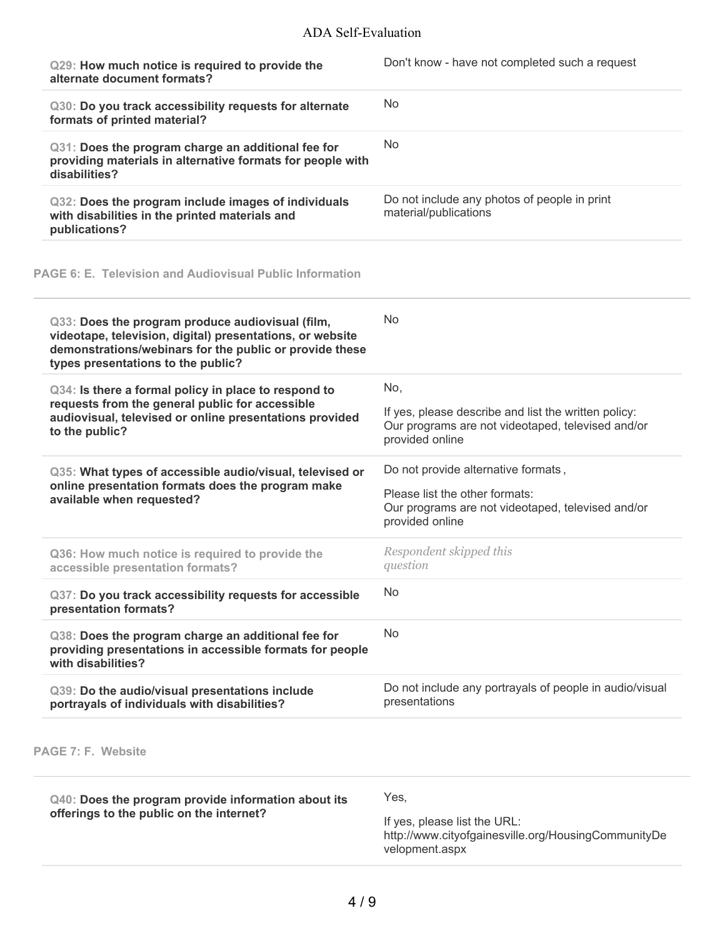| Q29: How much notice is required to provide the<br>alternate document formats?                                                                                                                                 | Don't know - have not completed such a request                                                                               |
|----------------------------------------------------------------------------------------------------------------------------------------------------------------------------------------------------------------|------------------------------------------------------------------------------------------------------------------------------|
| Q30: Do you track accessibility requests for alternate<br>formats of printed material?                                                                                                                         | <b>No</b>                                                                                                                    |
| Q31: Does the program charge an additional fee for<br>providing materials in alternative formats for people with<br>disabilities?                                                                              | <b>No</b>                                                                                                                    |
| Q32: Does the program include images of individuals<br>with disabilities in the printed materials and<br>publications?                                                                                         | Do not include any photos of people in print<br>material/publications                                                        |
| <b>PAGE 6: E. Television and Audiovisual Public Information</b>                                                                                                                                                |                                                                                                                              |
| Q33: Does the program produce audiovisual (film,<br>videotape, television, digital) presentations, or website<br>demonstrations/webinars for the public or provide these<br>types presentations to the public? | <b>No</b>                                                                                                                    |
| Q34: Is there a formal policy in place to respond to<br>requests from the general public for accessible<br>audiovisual, televised or online presentations provided<br>to the public?                           | No,                                                                                                                          |
|                                                                                                                                                                                                                | If yes, please describe and list the written policy:<br>Our programs are not videotaped, televised and/or<br>provided online |
| Q35: What types of accessible audio/visual, televised or<br>online presentation formats does the program make<br>available when requested?                                                                     | Do not provide alternative formats,                                                                                          |
|                                                                                                                                                                                                                | Please list the other formats:                                                                                               |
|                                                                                                                                                                                                                | Our programs are not videotaped, televised and/or<br>provided online                                                         |
| Q36: How much notice is required to provide the<br>accessible presentation formats?                                                                                                                            | Respondent skipped this<br>question                                                                                          |
| Q37: Do you track accessibility requests for accessible<br>presentation formats?                                                                                                                               | <b>No</b>                                                                                                                    |
| Q38: Does the program charge an additional fee for<br>providing presentations in accessible formats for people<br>with disabilities?                                                                           | No                                                                                                                           |

**PAGE 7: F. Website**

| Q40: Does the program provide information about its | Yes.                                                                                                  |
|-----------------------------------------------------|-------------------------------------------------------------------------------------------------------|
| offerings to the public on the internet?            | If yes, please list the URL:<br>http://www.cityofgainesville.org/HousingCommunityDe<br>velopment.aspx |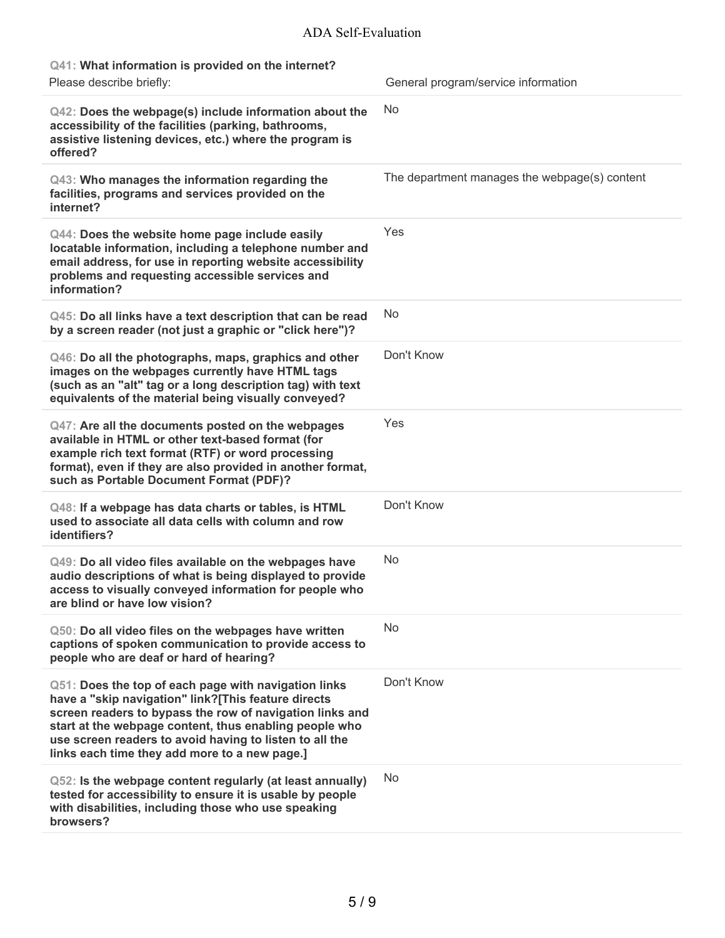# ADA Self-Evaluation

| Q41: What information is provided on the internet?                                                                                                                                                                                                                                                                                            |                                               |
|-----------------------------------------------------------------------------------------------------------------------------------------------------------------------------------------------------------------------------------------------------------------------------------------------------------------------------------------------|-----------------------------------------------|
| Please describe briefly:                                                                                                                                                                                                                                                                                                                      | General program/service information           |
| Q42: Does the webpage(s) include information about the<br>accessibility of the facilities (parking, bathrooms,<br>assistive listening devices, etc.) where the program is<br>offered?                                                                                                                                                         | No                                            |
| Q43: Who manages the information regarding the<br>facilities, programs and services provided on the<br>internet?                                                                                                                                                                                                                              | The department manages the webpage(s) content |
| Q44: Does the website home page include easily<br>locatable information, including a telephone number and<br>email address, for use in reporting website accessibility<br>problems and requesting accessible services and<br>information?                                                                                                     | Yes                                           |
| Q45: Do all links have a text description that can be read<br>by a screen reader (not just a graphic or "click here")?                                                                                                                                                                                                                        | No                                            |
| Q46: Do all the photographs, maps, graphics and other<br>images on the webpages currently have HTML tags<br>(such as an "alt" tag or a long description tag) with text<br>equivalents of the material being visually conveyed?                                                                                                                | Don't Know                                    |
| Q47: Are all the documents posted on the webpages<br>available in HTML or other text-based format (for<br>example rich text format (RTF) or word processing<br>format), even if they are also provided in another format,<br>such as Portable Document Format (PDF)?                                                                          | Yes                                           |
| Q48: If a webpage has data charts or tables, is HTML<br>used to associate all data cells with column and row<br>identifiers?                                                                                                                                                                                                                  | Don't Know                                    |
| Q49: Do all video files available on the webpages have<br>audio descriptions of what is being displayed to provide<br>access to visually conveyed information for people who<br>are blind or have low vision?                                                                                                                                 | No                                            |
| Q50: Do all video files on the webpages have written<br>captions of spoken communication to provide access to<br>people who are deaf or hard of hearing?                                                                                                                                                                                      | No                                            |
| Q51: Does the top of each page with navigation links<br>have a "skip navigation" link?[This feature directs<br>screen readers to bypass the row of navigation links and<br>start at the webpage content, thus enabling people who<br>use screen readers to avoid having to listen to all the<br>links each time they add more to a new page.] | Don't Know                                    |
| Q52: Is the webpage content regularly (at least annually)<br>tested for accessibility to ensure it is usable by people<br>with disabilities, including those who use speaking<br>browsers?                                                                                                                                                    | No                                            |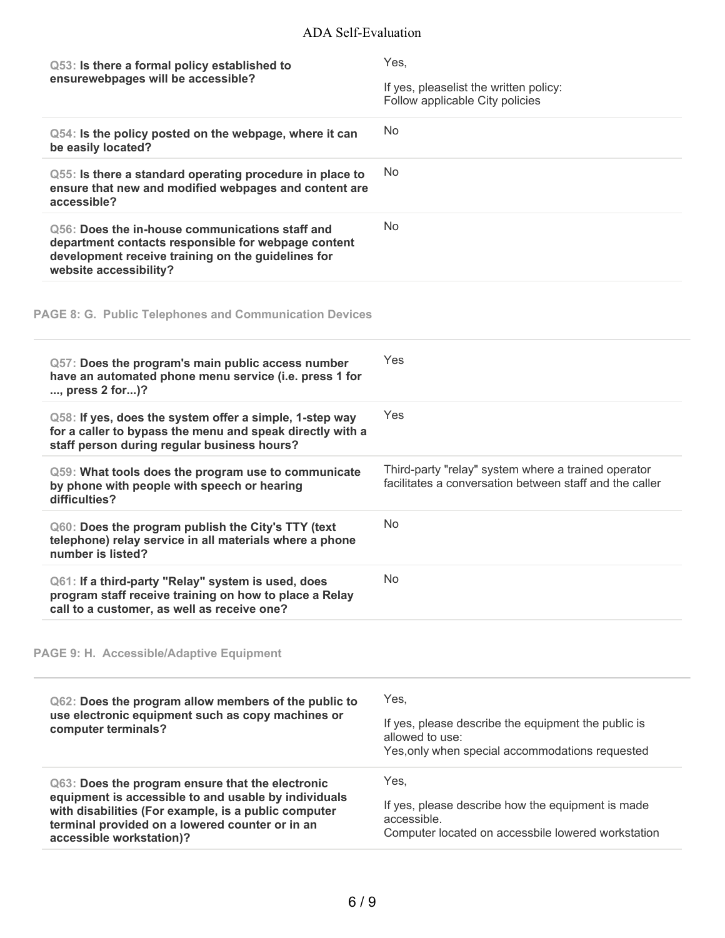| Q53: Is there a formal policy established to<br>ensurewebpages will be accessible?                                                                                                                                                              | Yes,<br>If yes, pleaselist the written policy:<br>Follow applicable City policies                                                 |
|-------------------------------------------------------------------------------------------------------------------------------------------------------------------------------------------------------------------------------------------------|-----------------------------------------------------------------------------------------------------------------------------------|
| Q54: Is the policy posted on the webpage, where it can<br>be easily located?                                                                                                                                                                    | <b>No</b>                                                                                                                         |
| Q55: Is there a standard operating procedure in place to<br>ensure that new and modified webpages and content are<br>accessible?                                                                                                                | <b>No</b>                                                                                                                         |
| Q56: Does the in-house communications staff and<br>department contacts responsible for webpage content<br>development receive training on the guidelines for<br>website accessibility?                                                          | <b>No</b>                                                                                                                         |
| <b>PAGE 8: G. Public Telephones and Communication Devices</b>                                                                                                                                                                                   |                                                                                                                                   |
| Q57: Does the program's main public access number<br>have an automated phone menu service (i.e. press 1 for<br>, press 2 for)?                                                                                                                  | Yes                                                                                                                               |
| Q58: If yes, does the system offer a simple, 1-step way<br>for a caller to bypass the menu and speak directly with a<br>staff person during regular business hours?                                                                             | Yes                                                                                                                               |
| Q59: What tools does the program use to communicate<br>by phone with people with speech or hearing<br>difficulties?                                                                                                                             | Third-party "relay" system where a trained operator<br>facilitates a conversation between staff and the caller                    |
| Q60: Does the program publish the City's TTY (text<br>telephone) relay service in all materials where a phone<br>number is listed?                                                                                                              | <b>No</b>                                                                                                                         |
| Q61: If a third-party "Relay" system is used, does<br>program staff receive training on how to place a Relay<br>call to a customer, as well as receive one?                                                                                     | No                                                                                                                                |
| <b>PAGE 9: H. Accessible/Adaptive Equipment</b>                                                                                                                                                                                                 |                                                                                                                                   |
| Q62: Does the program allow members of the public to<br>use electronic equipment such as copy machines or<br>computer terminals?                                                                                                                | Yes,<br>If yes, please describe the equipment the public is<br>allowed to use:<br>Yes, only when special accommodations requested |
| Q63: Does the program ensure that the electronic<br>equipment is accessible to and usable by individuals<br>with disabilities (For example, is a public computer<br>terminal provided on a lowered counter or in an<br>accessible workstation)? | Yes,<br>If yes, please describe how the equipment is made<br>accessible.<br>Computer located on accessbile lowered workstation    |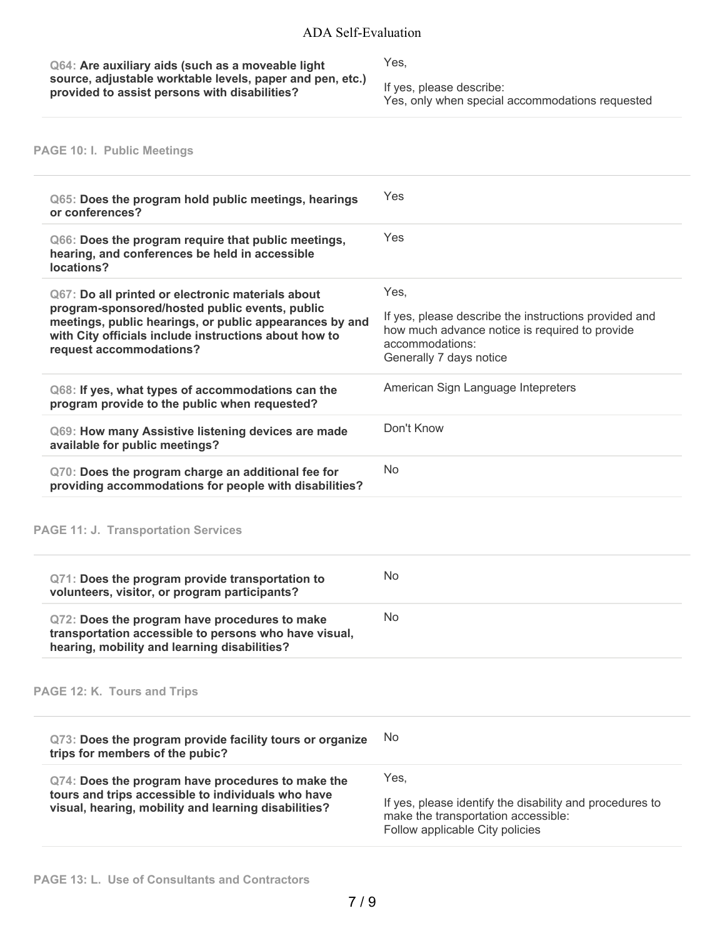### ADA Self-Evaluation

**Q64: Are auxiliary aids (such as a moveable light source, adjustable worktable levels, paper and pen, etc.) provided to assist persons with disabilities?**

Yes,

If yes, please describe:

Yes, only when special accommodations requested

# **PAGE 10: I. Public Meetings**

| Q65: Does the program hold public meetings, hearings<br>or conferences?                                                                                                                                                                            | Yes                                                                                                                                                           |
|----------------------------------------------------------------------------------------------------------------------------------------------------------------------------------------------------------------------------------------------------|---------------------------------------------------------------------------------------------------------------------------------------------------------------|
| Q66: Does the program require that public meetings,<br>hearing, and conferences be held in accessible<br>locations?                                                                                                                                | Yes                                                                                                                                                           |
| Q67: Do all printed or electronic materials about<br>program-sponsored/hosted public events, public<br>meetings, public hearings, or public appearances by and<br>with City officials include instructions about how to<br>request accommodations? | Yes,<br>If yes, please describe the instructions provided and<br>how much advance notice is required to provide<br>accommodations:<br>Generally 7 days notice |
| Q68: If yes, what types of accommodations can the<br>program provide to the public when requested?                                                                                                                                                 | American Sign Language Intepreters                                                                                                                            |
| Q69: How many Assistive listening devices are made<br>available for public meetings?                                                                                                                                                               | Don't Know                                                                                                                                                    |
| Q70: Does the program charge an additional fee for<br>providing accommodations for people with disabilities?                                                                                                                                       | <b>No</b>                                                                                                                                                     |
| <b>PAGE 11: J. Transportation Services</b>                                                                                                                                                                                                         |                                                                                                                                                               |
| Q71: Does the program provide transportation to<br>volunteers, visitor, or program participants?                                                                                                                                                   | <b>No</b>                                                                                                                                                     |
| Q72: Does the program have procedures to make<br>transportation accessible to persons who have visual,<br>hearing, mobility and learning disabilities?                                                                                             | <b>No</b>                                                                                                                                                     |
| PAGE 12: K. Tours and Trips                                                                                                                                                                                                                        |                                                                                                                                                               |
| Q73: Does the program provide facility tours or organize<br>trips for members of the pubic?                                                                                                                                                        | No                                                                                                                                                            |
| Q74: Does the program have procedures to make the<br>tours and trips accessible to individuals who have<br>visual, hearing, mobility and learning disabilities?                                                                                    | Yes,<br>If yes, please identify the disability and procedures to<br>make the transportation accessible:<br>Follow applicable City policies                    |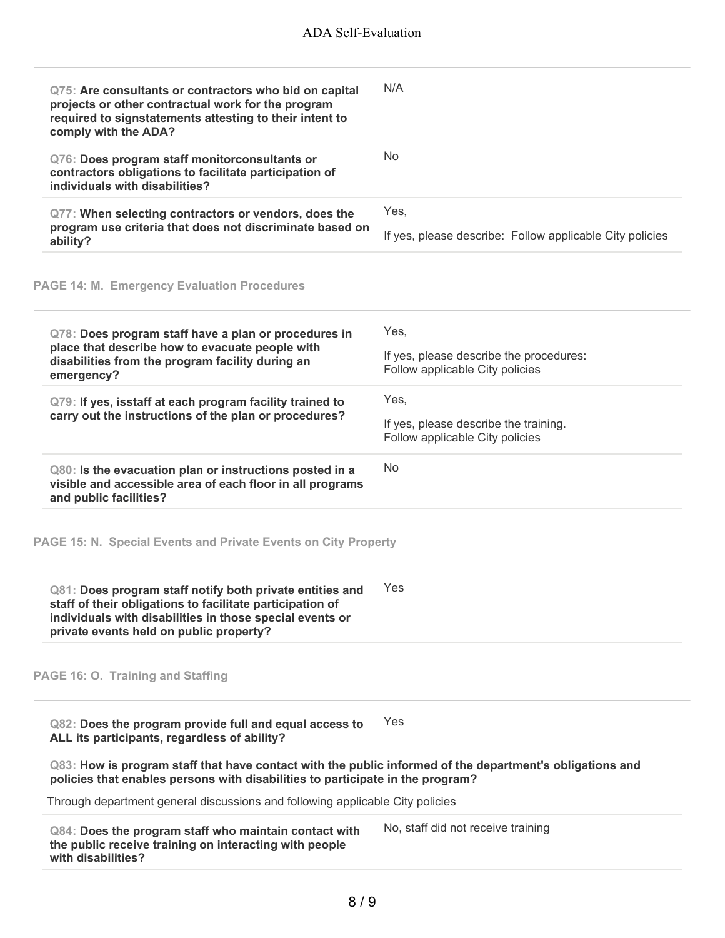| Q75: Are consultants or contractors who bid on capital<br>projects or other contractual work for the program<br>required to signstatements attesting to their intent to<br>comply with the ADA?                              | N/A                                                                                |
|------------------------------------------------------------------------------------------------------------------------------------------------------------------------------------------------------------------------------|------------------------------------------------------------------------------------|
| Q76: Does program staff monitorconsultants or<br>contractors obligations to facilitate participation of<br>individuals with disabilities?                                                                                    | <b>No</b>                                                                          |
| Q77: When selecting contractors or vendors, does the<br>program use criteria that does not discriminate based on<br>ability?                                                                                                 | Yes,<br>If yes, please describe: Follow applicable City policies                   |
| <b>PAGE 14: M. Emergency Evaluation Procedures</b>                                                                                                                                                                           |                                                                                    |
| Q78: Does program staff have a plan or procedures in<br>place that describe how to evacuate people with<br>disabilities from the program facility during an<br>emergency?                                                    | Yes,<br>If yes, please describe the procedures:<br>Follow applicable City policies |
| Q79: If yes, isstaff at each program facility trained to<br>carry out the instructions of the plan or procedures?                                                                                                            | Yes,<br>If yes, please describe the training.<br>Follow applicable City policies   |
| Q80: Is the evacuation plan or instructions posted in a<br>visible and accessible area of each floor in all programs<br>and public facilities?                                                                               | No.                                                                                |
| PAGE 15: N. Special Events and Private Events on City Property                                                                                                                                                               |                                                                                    |
| Q81: Does program staff notify both private entities and<br>staff of their obligations to facilitate participation of<br>individuals with disabilities in those special events or<br>private events held on public property? | Yes                                                                                |
| PAGE 16: O. Training and Staffing                                                                                                                                                                                            |                                                                                    |
| Q82: Does the program provide full and equal access to<br>ALL its participants, regardless of ability?                                                                                                                       | Yes                                                                                |
| Q83: How is program staff that have contact with the public informed of the department's obligations and<br>policies that enables persons with disabilities to participate in the program?                                   |                                                                                    |
| Through department general discussions and following applicable City policies                                                                                                                                                |                                                                                    |
| Q84: Does the program staff who maintain contact with<br>the public receive training on interacting with people<br>with disabilities?                                                                                        | No, staff did not receive training                                                 |
|                                                                                                                                                                                                                              |                                                                                    |